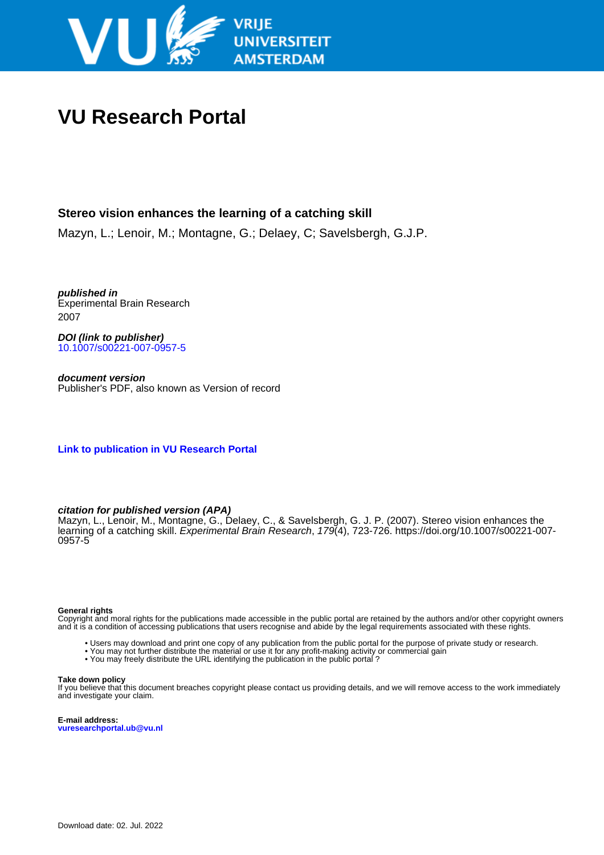

# **VU Research Portal**

# **Stereo vision enhances the learning of a catching skill**

Mazyn, L.; Lenoir, M.; Montagne, G.; Delaey, C; Savelsbergh, G.J.P.

**published in** Experimental Brain Research 2007

**DOI (link to publisher)** [10.1007/s00221-007-0957-5](https://doi.org/10.1007/s00221-007-0957-5)

**document version** Publisher's PDF, also known as Version of record

**[Link to publication in VU Research Portal](https://research.vu.nl/en/publications/b33d12e2-2192-4b07-9762-0d1a23d179b6)**

## **citation for published version (APA)**

Mazyn, L., Lenoir, M., Montagne, G., Delaey, C., & Savelsbergh, G. J. P. (2007). Stereo vision enhances the learning of a catching skill. Experimental Brain Research, 179(4), 723-726. [https://doi.org/10.1007/s00221-007-](https://doi.org/10.1007/s00221-007-0957-5) [0957-5](https://doi.org/10.1007/s00221-007-0957-5)

#### **General rights**

Copyright and moral rights for the publications made accessible in the public portal are retained by the authors and/or other copyright owners and it is a condition of accessing publications that users recognise and abide by the legal requirements associated with these rights.

- Users may download and print one copy of any publication from the public portal for the purpose of private study or research.
- You may not further distribute the material or use it for any profit-making activity or commercial gain
- You may freely distribute the URL identifying the publication in the public portal ?

#### **Take down policy**

If you believe that this document breaches copyright please contact us providing details, and we will remove access to the work immediately and investigate your claim.

**E-mail address: vuresearchportal.ub@vu.nl**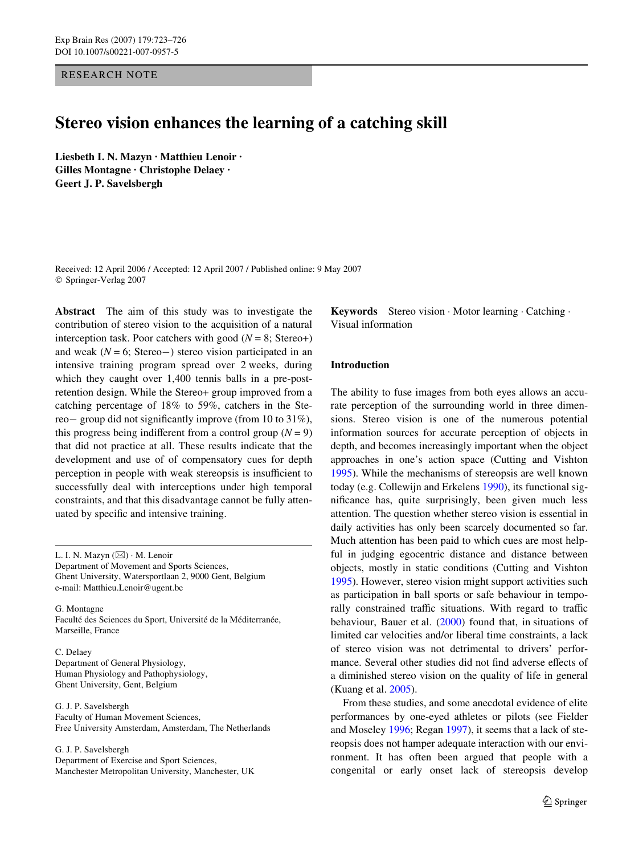RESEARCH NOTE

# **Stereo vision enhances the learning of a catching skill**

**Liesbeth I. N. Mazyn · Matthieu Lenoir · Gilles Montagne · Christophe Delaey · Geert J. P. Savelsbergh** 

Received: 12 April 2006 / Accepted: 12 April 2007 / Published online: 9 May 2007 © Springer-Verlag 2007

**Abstract** The aim of this study was to investigate the contribution of stereo vision to the acquisition of a natural interception task. Poor catchers with good ( $N = 8$ ; Stereo+) and weak ( $N = 6$ ; Stereo-) stereo vision participated in an intensive training program spread over 2 weeks, during which they caught over 1,400 tennis balls in a pre-postretention design. While the Stereo+ group improved from a catching percentage of 18% to 59%, catchers in the Stereo— group did not significantly improve (from 10 to 31%), this progress being indifferent from a control group  $(N = 9)$ that did not practice at all. These results indicate that the development and use of of compensatory cues for depth perception in people with weak stereopsis is insufficient to successfully deal with interceptions under high temporal constraints, and that this disadvantage cannot be fully attenuated by specific and intensive training.

L. I. N. Mazyn (⊠) · M. Lenoir Department of Movement and Sports Sciences, Ghent University, Watersportlaan 2, 9000 Gent, Belgium e-mail: Matthieu.Lenoir@ugent.be

G. Montagne Faculté des Sciences du Sport, Université de la Méditerranée, Marseille, France

C. Delaey Department of General Physiology, Human Physiology and Pathophysiology, Ghent University, Gent, Belgium

G. J. P. Savelsbergh Faculty of Human Movement Sciences, Free University Amsterdam, Amsterdam, The Netherlands

G. J. P. Savelsbergh

Department of Exercise and Sport Sciences, Manchester Metropolitan University, Manchester, UK **Keywords** Stereo vision · Motor learning · Catching · Visual information

### **Introduction**

The ability to fuse images from both eyes allows an accurate perception of the surrounding world in three dimensions. Stereo vision is one of the numerous potential information sources for accurate perception of objects in depth, and becomes increasingly important when the object approaches in one's action space (Cutting and Vishton [1995](#page-4-0)). While the mechanisms of stereopsis are well known today (e.g. Collewijn and Erkelens [1990\)](#page-4-1), its functional significance has, quite surprisingly, been given much less attention. The question whether stereo vision is essential in daily activities has only been scarcely documented so far. Much attention has been paid to which cues are most helpful in judging egocentric distance and distance between objects, mostly in static conditions (Cutting and Vishton [1995](#page-4-0)). However, stereo vision might support activities such as participation in ball sports or safe behaviour in temporally constrained traffic situations. With regard to traffic behaviour, Bauer et al. [\(2000](#page-4-2)) found that, in situations of limited car velocities and/or liberal time constraints, a lack of stereo vision was not detrimental to drivers' performance. Several other studies did not find adverse effects of a diminished stereo vision on the quality of life in general (Kuang et al. [2005\)](#page-4-3).

From these studies, and some anecdotal evidence of elite performances by one-eyed athletes or pilots (see Fielder and Moseley [1996;](#page-4-4) Regan [1997\)](#page-4-5), it seems that a lack of stereopsis does not hamper adequate interaction with our environment. It has often been argued that people with a congenital or early onset lack of stereopsis develop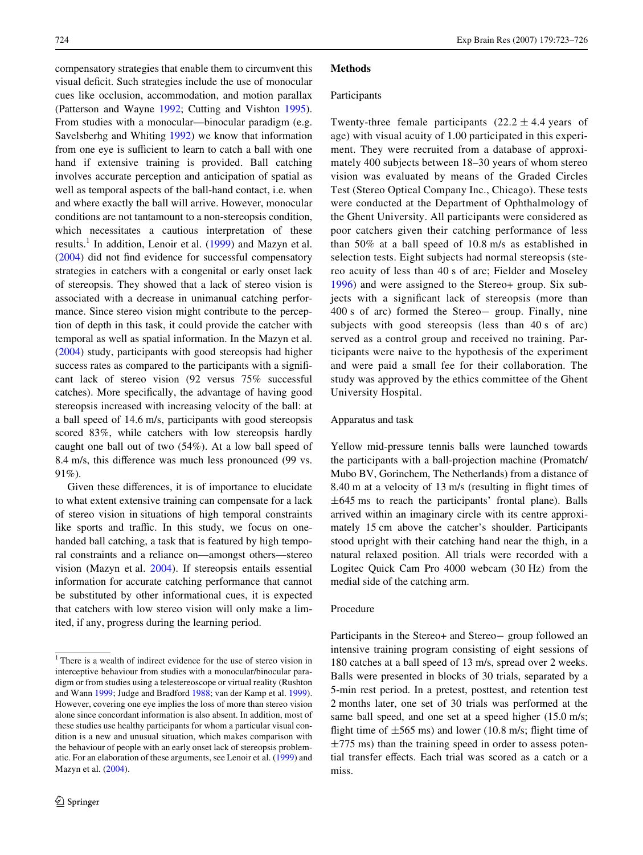compensatory strategies that enable them to circumvent this visual deficit. Such strategies include the use of monocular cues like occlusion, accommodation, and motion parallax (Patterson and Wayne [1992](#page-4-6); Cutting and Vishton [1995](#page-4-0)). From studies with a monocular—binocular paradigm (e.g. Savelsberhg and Whiting [1992\)](#page-4-7) we know that information from one eye is sufficient to learn to catch a ball with one hand if extensive training is provided. Ball catching involves accurate perception and anticipation of spatial as well as temporal aspects of the ball-hand contact, i.e. when and where exactly the ball will arrive. However, monocular conditions are not tantamount to a non-stereopsis condition, which necessitates a cautious interpretation of these results.<sup>1</sup> In addition, Lenoir et al. ([1999\)](#page-4-11) and Mazyn et al.  $(2004)$  $(2004)$  did not find evidence for successful compensatory strategies in catchers with a congenital or early onset lack of stereopsis. They showed that a lack of stereo vision is associated with a decrease in unimanual catching performance. Since stereo vision might contribute to the perception of depth in this task, it could provide the catcher with temporal as well as spatial information. In the Mazyn et al. [\(2004](#page-4-12)) study, participants with good stereopsis had higher success rates as compared to the participants with a significant lack of stereo vision (92 versus 75% successful catches). More specifically, the advantage of having good stereopsis increased with increasing velocity of the ball: at a ball speed of 14.6 m/s, participants with good stereopsis scored 83%, while catchers with low stereopsis hardly caught one ball out of two (54%). At a low ball speed of 8.4 m/s, this difference was much less pronounced (99 vs.  $91\%$ ).

Given these differences, it is of importance to elucidate to what extent extensive training can compensate for a lack of stereo vision in situations of high temporal constraints like sports and traffic. In this study, we focus on onehanded ball catching, a task that is featured by high temporal constraints and a reliance on—amongst others—stereo vision (Mazyn et al. [2004](#page-4-12)). If stereopsis entails essential information for accurate catching performance that cannot be substituted by other informational cues, it is expected that catchers with low stereo vision will only make a limited, if any, progress during the learning period.

#### **Methods**

#### Participants

Twenty-three female participants  $(22.2 \pm 4.4 \text{ years of})$ age) with visual acuity of 1.00 participated in this experiment. They were recruited from a database of approximately 400 subjects between 18–30 years of whom stereo vision was evaluated by means of the Graded Circles Test (Stereo Optical Company Inc., Chicago). These tests were conducted at the Department of Ophthalmology of the Ghent University. All participants were considered as poor catchers given their catching performance of less than 50% at a ball speed of 10.8 m/s as established in selection tests. Eight subjects had normal stereopsis (stereo acuity of less than 40 s of arc; Fielder and Moseley [1996\)](#page-4-4) and were assigned to the Stereo+ group. Six subjects with a significant lack of stereopsis (more than  $400 s$  of arc) formed the Stereo-group. Finally, nine subjects with good stereopsis (less than 40 s of arc) served as a control group and received no training. Participants were naive to the hypothesis of the experiment and were paid a small fee for their collaboration. The study was approved by the ethics committee of the Ghent University Hospital.

#### Apparatus and task

Yellow mid-pressure tennis balls were launched towards the participants with a ball-projection machine (Promatch/ Mubo BV, Gorinchem, The Netherlands) from a distance of 8.40 m at a velocity of  $13 \text{ m/s}$  (resulting in flight times of  $\pm 645$  ms to reach the participants' frontal plane). Balls arrived within an imaginary circle with its centre approximately 15 cm above the catcher's shoulder. Participants stood upright with their catching hand near the thigh, in a natural relaxed position. All trials were recorded with a Logitec Quick Cam Pro 4000 webcam (30 Hz) from the medial side of the catching arm.

#### Procedure

Participants in the Stereo+ and Stereo-group followed an intensive training program consisting of eight sessions of 180 catches at a ball speed of 13 m/s, spread over 2 weeks. Balls were presented in blocks of 30 trials, separated by a 5-min rest period. In a pretest, posttest, and retention test 2 months later, one set of 30 trials was performed at the same ball speed, and one set at a speed higher  $(15.0 \text{ m/s})$ ; flight time of  $\pm 565$  ms) and lower (10.8 m/s; flight time of  $\pm$ 775 ms) than the training speed in order to assess potential transfer effects. Each trial was scored as a catch or a miss.

<sup>&</sup>lt;sup>1</sup> There is a wealth of indirect evidence for the use of stereo vision in interceptive behaviour from studies with a monocular/binocular paradigm or from studies using a telestereoscope or virtual reality (Rushton and Wann [1999;](#page-4-8) Judge and Bradford [1988;](#page-4-9) van der Kamp et al. [1999](#page-4-10)). However, covering one eye implies the loss of more than stereo vision alone since concordant information is also absent. In addition, most of these studies use healthy participants for whom a particular visual condition is a new and unusual situation, which makes comparison with the behaviour of people with an early onset lack of stereopsis problematic. For an elaboration of these arguments, see Lenoir et al. [\(1999](#page-4-11)) and Mazyn et al. [\(2004](#page-4-12)).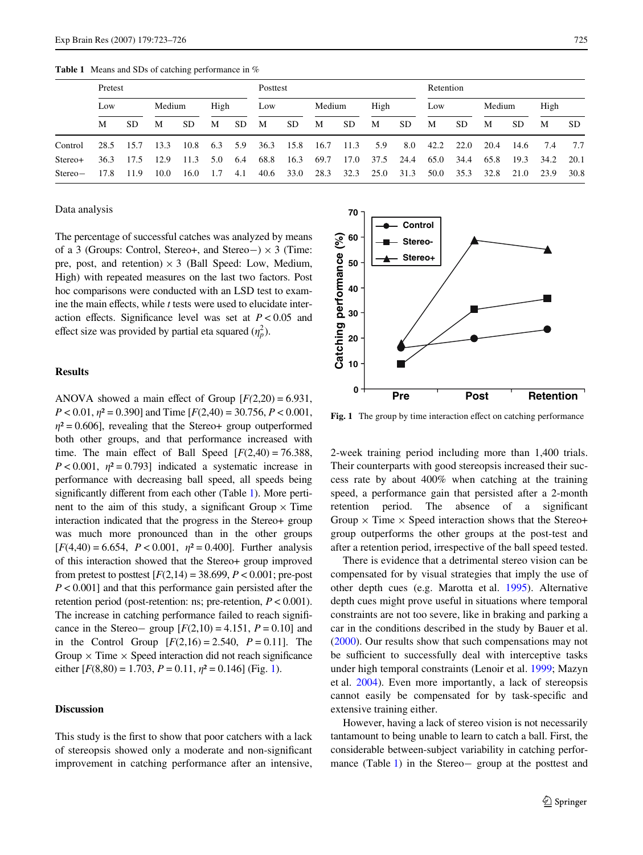<span id="page-3-0"></span>**Table 1** Means and SDs of catching performance in %

|           | Pretest |      |        |      |      |     | Posttest |           |        |      |      |      | Retention |      |        |           |      |           |
|-----------|---------|------|--------|------|------|-----|----------|-----------|--------|------|------|------|-----------|------|--------|-----------|------|-----------|
|           | Low     |      | Medium |      | High |     | Low      |           | Medium |      | High |      | Low       |      | Medium |           | High |           |
|           | М       | SD.  | M      | SD.  | M    | SD. | M        | <b>SD</b> | M      | SD.  | M    | SD.  | M         | SD.  | M      | <b>SD</b> | М    | <b>SD</b> |
| Control   | 28.5    | 15.7 | 13.3   | 10.8 | 6.3  | 5.9 | 36.3     | 15.8      | 16.7   | 11.3 | 5.9  | 8.0  | 42.2      | 22.0 | 20.4   | 14.6      | 7.4  | 7.7       |
| Stereo+   | 36.3    | 17.5 | 12.9   | 11.3 | 5.0  | 6.4 | 68.8     | 16.3      | 69.7   | 17.0 | 37.5 | 24.4 | 65.0      | 34.4 | 65.8   | 19.3      | 34.2 | 20.1      |
| $Stereo-$ | 17.8    | 11.9 | 10.0   | 16.0 | 1.7  | 4.1 | 40.6     | 33.0      | 28.3   | 32.3 | 25.0 | 31.3 | 50.0      | 35.3 | 32.8   | 21.0      | 23.9 | 30.8      |

#### Data analysis

The percentage of successful catches was analyzed by means of a 3 (Groups: Control, Stereo+, and Stereo-)  $\times$  3 (Time: pre, post, and retention)  $\times$  3 (Ball Speed: Low, Medium, High) with repeated measures on the last two factors. Post hoc comparisons were conducted with an LSD test to examine the main effects, while *t* tests were used to elucidate interaction effects. Significance level was set at  $P < 0.05$  and effect size was provided by partial eta squared  $(\eta_p^2)$ .

## **Results**

ANOVA showed a main effect of Group  $[F(2,20) = 6.931]$ ,  $P < 0.01$ ,  $\eta^2 = 0.390$ ] and Time [ $F(2,40) = 30.756$ ,  $P < 0.001$ ,  $\eta^2 = 0.606$ , revealing that the Stereo+ group outperformed both other groups, and that performance increased with time. The main effect of Ball Speed  $[F(2,40) = 76.388]$ ,  $P < 0.001$ ,  $\eta^2 = 0.793$ ] indicated a systematic increase in performance with decreasing ball speed, all speeds being significantly different from each other (Table [1\)](#page-3-0). More pertinent to the aim of this study, a significant Group  $\times$  Time interaction indicated that the progress in the Stereo+ group was much more pronounced than in the other groups  $[F(4,40) = 6.654, P < 0.001, \eta^2 = 0.400]$ . Further analysis of this interaction showed that the Stereo+ group improved from pretest to posttest  $[F(2,14) = 38.699, P < 0.001$ ; pre-post *P* < 0.001] and that this performance gain persisted after the retention period (post-retention: ns; pre-retention, *P* < 0.001). The increase in catching performance failed to reach significance in the Stereo- group  $[F(2,10) = 4.151, P = 0.10]$  and in the Control Group  $[F(2,16) = 2.540, P = 0.11]$ . The Group  $\times$  Time  $\times$  Speed interaction did not reach significance either  $[F(8,80) = 1.703, P = 0.11, \eta^2 = 0.146]$  $[F(8,80) = 1.703, P = 0.11, \eta^2 = 0.146]$  $[F(8,80) = 1.703, P = 0.11, \eta^2 = 0.146]$  (Fig. 1).

#### **Discussion**

This study is the first to show that poor catchers with a lack of stereopsis showed only a moderate and non-significant improvement in catching performance after an intensive,



<span id="page-3-1"></span>**Fig. 1** The group by time interaction effect on catching performance

2-week training period including more than 1,400 trials. Their counterparts with good stereopsis increased their success rate by about 400% when catching at the training speed, a performance gain that persisted after a 2-month retention period. The absence of a significant Group  $\times$  Time  $\times$  Speed interaction shows that the Stereo+ group outperforms the other groups at the post-test and after a retention period, irrespective of the ball speed tested.

There is evidence that a detrimental stereo vision can be compensated for by visual strategies that imply the use of other depth cues (e.g. Marotta et al. [1995](#page-4-13)). Alternative depth cues might prove useful in situations where temporal constraints are not too severe, like in braking and parking a car in the conditions described in the study by Bauer et al. ([2000\)](#page-4-2). Our results show that such compensations may not be sufficient to successfully deal with interceptive tasks under high temporal constraints (Lenoir et al. [1999](#page-4-11); Mazyn et al. [2004\)](#page-4-12). Even more importantly, a lack of stereopsis cannot easily be compensated for by task-specific and extensive training either.

However, having a lack of stereo vision is not necessarily tantamount to being unable to learn to catch a ball. First, the considerable between-subject variability in catching perfor-mance (Table [1](#page-3-0)) in the Stereo- group at the posttest and